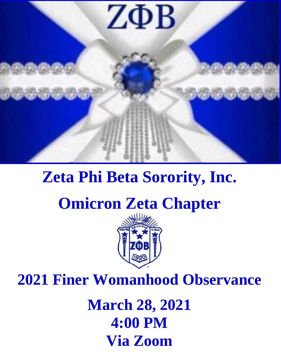

# **Zeta Phi Beta Sorority, Inc.**

## **Omicron Zeta Chapter**



**2021 Finer Womanhood Observance**

**March 28, 2021 4:00 PM Via Zoom**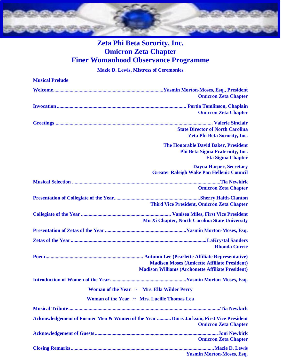

#### **Zeta Phi Beta Sorority, Inc. Omicron Zeta Chapter Finer Womanhood Observance Programme**

**Mazie D. Lewis, Mistress of Ceremonies**

| <b>Musical Prelude</b>                                                                                                |
|-----------------------------------------------------------------------------------------------------------------------|
| <b>Omicron Zeta Chapter</b>                                                                                           |
| <b>Omicron Zeta Chapter</b>                                                                                           |
| <b>State Director of North Carolina</b><br>Zeta Phi Beta Sorority, Inc.                                               |
| <b>The Honorable David Baker, President</b><br>Phi Beta Sigma Fraternity, Inc.<br><b>Eta Sigma Chapter</b>            |
| <b>Dayna Harper, Secretary</b><br><b>Greater Raleigh Wake Pan Hellenic Council</b>                                    |
| <b>Omicron Zeta Chapter</b>                                                                                           |
| <b>Third Vice President, Omicron Zeta Chapter</b>                                                                     |
| Mu Xi Chapter, North Carolina State University                                                                        |
|                                                                                                                       |
| <b>Rhonda Currie</b>                                                                                                  |
| <b>Madisen Moses (Amicette Affiliate President)</b><br><b>Madison Williams (Archonette Affiliate President)</b>       |
|                                                                                                                       |
| Woman of the Year ~ Mrs. Ella Wilder Perry                                                                            |
| Woman of the Year ~ Mrs. Lucille Thomas Lea                                                                           |
|                                                                                                                       |
| Acknowledgement of Former Men & Women of the Year  Doris Jackson, First Vice President<br><b>Omicron Zeta Chapter</b> |
| <b>Omicron Zeta Chapter</b>                                                                                           |
| <b>Yasmin Morton-Moses, Esq.</b>                                                                                      |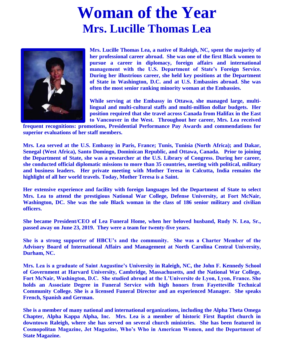### **Woman of the Year Mrs. Lucille Thomas Lea**



**Mrs. Lucille Thomas Lea, a native of Raleigh, NC, spent the majority of her professional career abroad. She was one of the first Black women to pursue a career in diplomacy, foreign affairs and international management with the U.S. Department of State's Foreign Service. During her illustrious career, she held key positions at the Department of State in Washington, D.C. and at U.S. Embassies abroad. She was often the most senior ranking minority woman at the Embassies.** 

**While serving at the Embassy in Ottawa, she managed large, multilingual and multi-cultural staffs and multi-million dollar budgets. Her position required that she travel across Canada from Halifax in the East to Vancouver in the West. Throughout her career, Mrs. Lea received** 

**frequent recognitions: promotions, Presidential Performance Pay Awards and commendations for superior evaluations of her staff members.** 

**Mrs. Lea served at the U.S. Embassy in Paris, France; Tunis, Tunisia (North Africa); and Dakar, Senegal (West Africa), Santo Domingo, Dominican Republic, and Ottawa, Canada. Prior to joining the Department of State, she was a researcher at the U.S. Library of Congress. During her career, she conducted official diplomatic missions to more than 35 countries, meeting with political, military and business leaders. Her private meeting with Mother Teresa in Calcutta, India remains the highlight of all her world travels. Today, Mother Teresa is a Saint.**

**Her extensive experience and facility with foreign languages led the Department of State to select Mrs. Lea to attend the prestigious National War College, Defense University, at Fort McNair, Washington, DC. She was the sole Black woman in the class of 186 senior military and civilian officers.**

**She became President/CEO of Lea Funeral Home, when her beloved husband, Rudy N. Lea, Sr., passed away on June 23, 2019. They were a team for twenty-five years.**

**She is a strong supporter of HBCU's and the community. She was a Charter Member of the Advisory Board of International Affairs and Management at North Carolina Central University, Durham, NC.**

**Mrs. Lea is a graduate of Saint Augustine's University in Raleigh, NC, the John F. Kennedy School of Government at Harvard University, Cambridge, Massachusetts, and the National War College, Fort McNair, Washington, D.C. She studied abroad at the L'Universite de Lyon, Lyon, France. She holds an Associate Degree in Funeral Service with high honors from Fayetteville Technical Community College. She is a licensed Funeral Director and an experienced Manager. She speaks French, Spanish and German.**

**She is a member of many national and international organizations, including the Alpha Theta Omega Chapter, Alpha Kappa Alpha, Inc. Mrs. Lea is a member of historic First Baptist church in downtown Raleigh, where she has served on several church ministries. She has been featured in Cosmopolitan Magazine, Jet Magazine, Who's Who in American Women, and the Department of State Magazine.**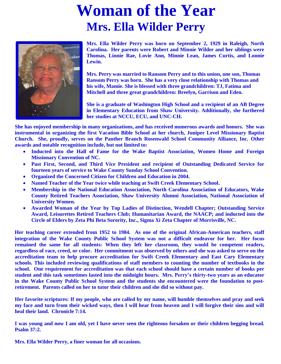### **Woman of the Year Mrs. Ella Wilder Perry**



**Mrs. Ella Wilder Perry was born on September 2, 1929 in Raleigh, North Carolina. Her parents were Robert and Minnie Wilder and her siblings were Thomas, Linnie Rae, Lovie Ann, Minnie Lean, James Curtis, and Lonnie Lewin.**

**Her Mrs. Perry was married to Ransom Perry and to this union, one son, Thomas Ransom Perry was born. She has a very close relationship with Thomas and his wife, Mamie. She is blessed with three grandchildren: TJ, Fatima and Mitchell and three great grandchildren: Breelyn, Garrison and Eden.**

**Her She is a graduate of Washington High School and a recipient of an AB Degree in Elementary Education from Shaw University. Additionally, she furthered her studies at NCCU, ECU, and UNC-CH.**

**She has enjoyed membership in many organizations, and has received numerous awards and honors. She was instrumental in organizing the first Vacation Bible School at her church, Juniper Level Missionary Baptist Church. She, proudly, serves on the Panther Branch Rosenwald School Community Alliance, Inc. Other awards and notable recognition include, but not limited to:**

- **Inducted into the Hall of Fame for the Wake Baptist Association, Women Home and Foreign Missionary Convention of NC.**
- **Past First, Second, and Third Vice President and recipient of Outstanding Dedicated Service for fourteen years of service to Wake County Sunday School Convention.**
- **Organized the Concerned Citizen for Children and Education in 2004.**
- **Named Teacher of the Year twice while teaching at Swift Creek Elementary School.**
- **Membership in the National Education Association, North Carolina Association of Educators, Wake County Retired Teachers Association, Shaw University Alumni Association, National Association of University Women.**
- **Awarded Woman of the Year by Top Ladies of Distinction, Wendell Chapter; Outstanding Service Award, Leisurettes Retired Teachers Club; Humanitarian Award, the NAACP; and inducted into the Circle of Elders by Zeta Phi Beta Sorority, Inc., Sigma Xi Zeta Chapter of Morrisville, NC.**

 **Her teaching career extended from 1952 to 1984. As one of the original African-American teachers, staff integration of the Wake County Public School System was not a difficult endeavor for her. Her focus remained the same for all students: When they left her classroom, they would be competent readers, regardless of race, creed, or color. Her commitment was observed by others and she was asked to serve on the accreditation team to help procure accreditation for Swift Creek Elementary and East Cary Elementary schools. This included reviewing qualifications of staff members to counting the number of textbooks in the school. One requirement for accreditation was that each school should have a certain number of books per student and this task sometimes lasted into the midnight hours. Mrs. Perry's thirty-two years as an educator in the Wake County Public School System and the students she encountered were the foundation to postretirement. Parents called on her to tutor their children and she did so without pay.** 

**Her favorite scriptures: If my people, who are called by my name, will humble themselves and pray and seek my face and turn from their wicked ways, then I will hear from heaven and I will forgive their sins and will heal their land. Chronicle 7:14.**

**I was young and now I am old, yet I have never seen the righteous forsaken or their children begging bread. Psalm 37:2.**

 **Mrs. Ella Wilder Perry, a finer woman for all occasions.**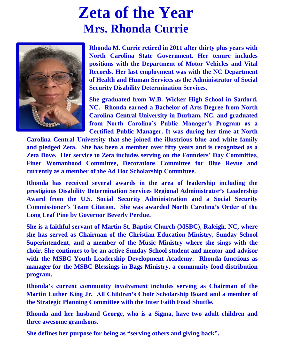#### **Zeta of the Year Mrs. Rhonda Currie**



**Rhonda M. Currie retired in 2011 after thirty plus years with North Carolina State Government. Her tenure includes positions with the Department of Motor Vehicles and Vital Records. Her last employment was with the NC Department of Health and Human Services as the Administrator of Social Security Disability Determination Services.** 

**She graduated from W.B. Wicker High School in Sanford, NC. Rhonda earned a Bachelor of Arts Degree from North Carolina Central University in Durham, NC. and graduated from North Carolina's Public Manager's Program as a Certified Public Manager. It was during her time at North** 

**Carolina Central University that she joined the illustrious blue and white family and pledged Zeta. She has been a member over fifty years and is recognized as a Zeta Dove. Her service to Zeta includes serving on the Founders' Day Committee, Finer Womanhood Committee, Decorations Committee for Blue Revue and currently as a member of the Ad Hoc Scholarship Committee.** 

**Rhonda has received several awards in the area of leadership including the prestigious Disability Determination Services Regional Administrator's Leadership Award from the U.S. Social Security Administration and a Social Security Commissioner's Team Citation. She was awarded North Carolina's Order of the Long Leaf Pine by Governor Beverly Perdue.**

**She is a faithful servant of Martin St. Baptist Church (MSBC), Raleigh, NC, where she has served as Chairman of the Christian Education Ministry, Sunday School Superintendent, and a member of the Music Ministry where she sings with the choir. She continues to be an active Sunday School student and mentor and advisor with the MSBC Youth Leadership Development Academy. Rhonda functions as manager for the MSBC Blessings in Bags Ministry, a community food distribution program.**

**Rhonda's current community involvement includes serving as Chairman of the Martin Luther King Jr. All Children's Choir Scholarship Board and a member of the Strategic Planning Committee with the Inter Faith Food Shuttle.** 

**Rhonda and her husband George, who is a Sigma, have two adult children and three awesome grandsons.**

**She defines her purpose for being as "serving others and giving back".**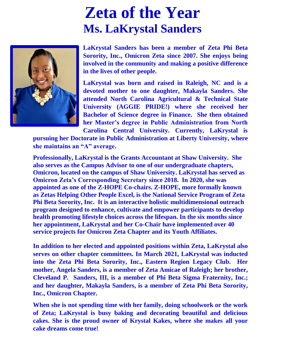### **Zeta of the Year Ms. LaKrystal Sanders**



**LaKrystal Sanders has been a member of Zeta Phi Beta Sorority, Inc., Omicron Zeta since 2007. She enjoys being involved in the community and making a positive difference in the lives of other people.**

**LaKrystal was born and raised in Raleigh, NC and is a devoted mother to one daughter, Makayla Sanders. She attended North Carolina Agricultural & Technical State University (AGGIE PRIDE!) where she received her Bachelor of Science degree in Finance. She then obtained her Master's degree in Public Administration from North Carolina Central University. Currently, LaKrystal is** 

**pursuing her Doctorate in Public Administration at Liberty University, where she maintains an "A" average.** 

**Professionally, LaKrystal is the Grants Accountant at Shaw University. She also serves as the Campus Advisor to one of our undergraduate chapters, Omicron, located on the campus of Shaw University. LaKrystal has served as Omicron Zeta's Corresponding Secretary since 2018. In 2020, she was appointed as one of the Z-HOPE Co-chairs. Z-HOPE, more formally known as Zetas Helping Other People Excel, is the National Service Program of Zeta Phi Beta Sorority, Inc. It is an interactive holistic multidimensional outreach program designed to enhance, cultivate and empower participants to develop health promoting lifestyle choices across the lifespan. In the six months since her appointment, LaKrystal and her Co-Chair have implemented over 40 service projects for Omicron Zeta Chapter and its Youth Affiliates.**

**In addition to her elected and appointed positions within Zeta, LaKrystal also serves on other chapter committees. In March 2021, LaKrystal was inducted into the Zeta Phi Beta Sorority, Inc., Eastern Region Legacy Club. Her mother, Angela Sanders, is a member of Zeta Amicae of Raleigh; her brother, Cleveland P. Sanders, III, is a member of Phi Beta Sigma Fraternity, Inc.; and her daughter, Makayla Sanders, is a member of Zeta Phi Beta Sorority, Inc., Omicron Chapter.**

**When she is not spending time with her family, doing schoolwork or the work of Zeta; LaKrystal is busy baking and decorating beautiful and delicious cakes. She is the proud owner of Krystal Kakes, where she makes all your cake dreams come true!**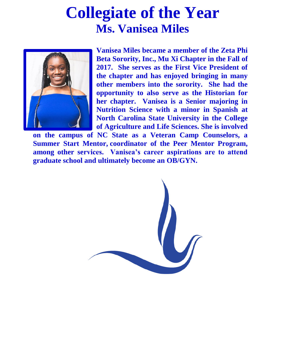#### **Collegiate of the Year Ms. Vanisea Miles**



**Vanisea Miles became a member of the Zeta Phi Beta Sorority, Inc., Mu Xi Chapter in the Fall of 2017. She serves as the First Vice President of the chapter and has enjoyed bringing in many other members into the sorority. She had the opportunity to also serve as the Historian for her chapter. Vanisea is a Senior majoring in Nutrition Science with a minor in Spanish at North Carolina State University in the College of Agriculture and Life Sciences. She is involved** 

**on the campus of NC State as a Veteran Camp Counselors, a Summer Start Mentor, coordinator of the Peer Mentor Program, among other services. Vanisea's career aspirations are to attend graduate school and ultimately become an OB/GYN.**

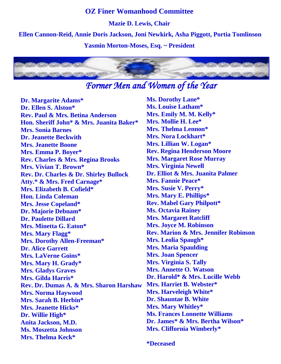#### **OZ Finer Womanhood Committee**

**Mazie D. Lewis, Chair**

**Ellen Cannon-Reid, Annie Doris Jackson, Joni Newkirk, Asha Piggott, Portia Tomlinson**

**Yasmin Morton-Moses, Esq. ~ President** 



#### *Former Men and Women of the Year*

**Dr. Margarite Adams\* Dr. Ellen S. Alston\* Rev. Paul & Mrs. Betina Anderson Hon. Sheriff John\* & Mrs. Juanita Baker\* Mrs. Sonia Barnes Dr. Jeanette Beckwith Mrs. Jeanette Boone Mrs. Emma P. Boyer\* Rev. Charles & Mrs. Regina Brooks Mrs. Vivian T. Brown\* Rev. Dr. Charles & Dr. Shirley Bullock Atty.\* & Mrs. Fred Carnage\* Mrs. Elizabeth B. Cofield\* Hon. Linda Coleman Mrs. Jesse Copeland\* Dr. Majorie Debnam\* Dr. Paulette Dillard Mrs. Minetta G. Eaton\* Mrs. Mary Flagg\* Mrs. Dorothy Allen-Freeman\* Dr. Alice Garrett Mrs. LaVerne Goins\* Mrs. Mary H. Grady\* Mrs. Gladys Graves Mrs. Gilda Harris\* Rev. Dr. Dumas A. & Mrs. Sharon Harshaw Mrs. Norma Haywood Mrs. Sarah B. Herbin\* Mrs. Jeanette Hicks\* Dr. Willie High\* Anita Jackson, M.D. Ms. Moszetta Johnson Mrs. Thelma Keck\***

**Ms. Dorothy Lane\* Ms. Louise Latham\* Mrs. Emily M. M. Kelly\* Mrs. Mollie H. Lee\* Mrs. Thelma Lennon\* Mrs. Nora Lockhart\* Mrs. Lillian W. Logan\* Rev. Regina Henderson Moore Mrs. Margaret Rose Murray Mrs. Virginia Newell Dr. Elliot & Mrs. Juanita Palmer Mrs. Fannie Peace\* Mrs. Susie V. Perry\* Mrs. Mary E. Phillips\* Rev. Mabel Gary Philpott\* Ms. Octavia Rainey Mrs. Margaret Ratcliff Mrs. Joyce M. Robinson Rev. Marion & Mrs. Jennifer Robinson Mrs. Leolia Spaugh\* Mrs. Maria Spaulding Mrs. Joan Spencer Mrs. Virginia S. Tally Mrs. Annette O. Watson Dr. Harold\* & Mrs. Lucille Webb Mrs. Harriet B. Webster\* Mrs. Harveleigh White\* Dr. Shauntae B. White Mrs. Mary Whitley\* Ms. Frances Lonnette Williams Dr. James\* & Mrs. Bertha Wilson\* Mrs. Cliffornia Wimberly\***

**\*Deceased**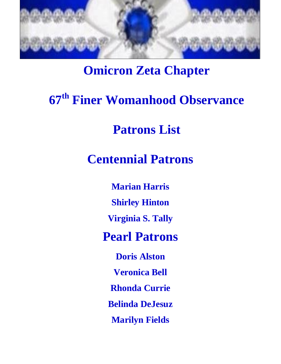

#### **Omicron Zeta Chapter**

## **67th Finer Womanhood Observance**

#### **Patrons List**

#### **Centennial Patrons**

**Marian Harris Shirley Hinton Virginia S. Tally Pearl Patrons Doris Alston Veronica Bell Rhonda Currie Belinda DeJesuz Marilyn Fields**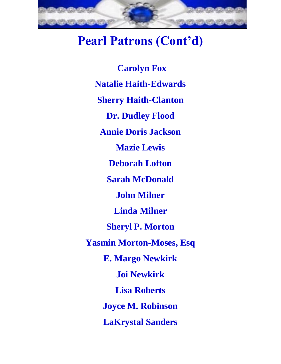

#### **Pearl Patrons (Cont'd)**

**Carolyn Fox Natalie Haith-Edwards Sherry Haith-Clanton Dr. Dudley Flood Annie Doris Jackson Mazie Lewis Deborah Lofton Sarah McDonald John Milner Linda Milner Sheryl P. Morton Yasmin Morton-Moses, Esq E. Margo Newkirk Joi Newkirk Lisa Roberts Joyce M. Robinson LaKrystal Sanders**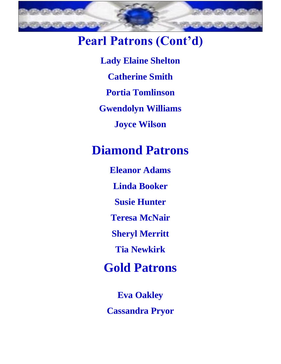

#### **Pearl Patrons (Cont'd)**

**Lady Elaine Shelton Catherine Smith Portia Tomlinson Gwendolyn Williams Joyce Wilson**

#### **Diamond Patrons**

**Eleanor Adams Linda Booker Susie Hunter Teresa McNair Sheryl Merritt Tia Newkirk**

**Gold Patrons** 

**Eva Oakley**

**Cassandra Pryor**